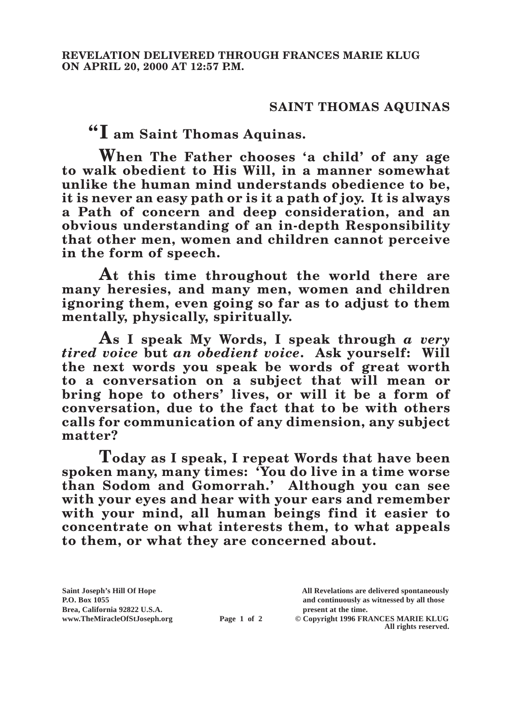## **SAINT THOMAS AQUINAS**

**"I am Saint Thomas Aquinas.**

**When The Father chooses 'a child' of any age to walk obedient to His Will, in a manner somewhat unlike the human mind understands obedience to be, it is never an easy path or is it a path of joy. It is always a Path of concern and deep consideration, and an obvious understanding of an in-depth Responsibility that other men, women and children cannot perceive in the form of speech.**

**At this time throughout the world there are many heresies, and many men, women and children ignoring them, even going so far as to adjust to them mentally, physically, spiritually.**

**As I speak My Words, I speak through** *a very tired voice* **but** *an obedient voice***. Ask yourself: Will the next words you speak be words of great worth to a conversation on a subject that will mean or bring hope to others' lives, or will it be a form of conversation, due to the fact that to be with others calls for communication of any dimension, any subject matter?**

**Today as I speak, I repeat Words that have been spoken many, many times: 'You do live in a time worse than Sodom and Gomorrah.' Although you can see with your eyes and hear with your ears and remember with your mind, all human beings find it easier to concentrate on what interests them, to what appeals to them, or what they are concerned about.**

**Brea, California 92822 U.S.A. present at the time.**<br> **present at the time.**<br> **present at the time.**<br> **present at the time.**<br> **present at the time.**<br> **present at the time.** 

**Saint Joseph's Hill Of Hope All Revelations are delivered spontaneously P.O. Box 1055 and continuously as witnessed by all those** 

**Page 1 of 2** © Copyright 1996 FRANCES MARIE KLUG **All rights reserved.**